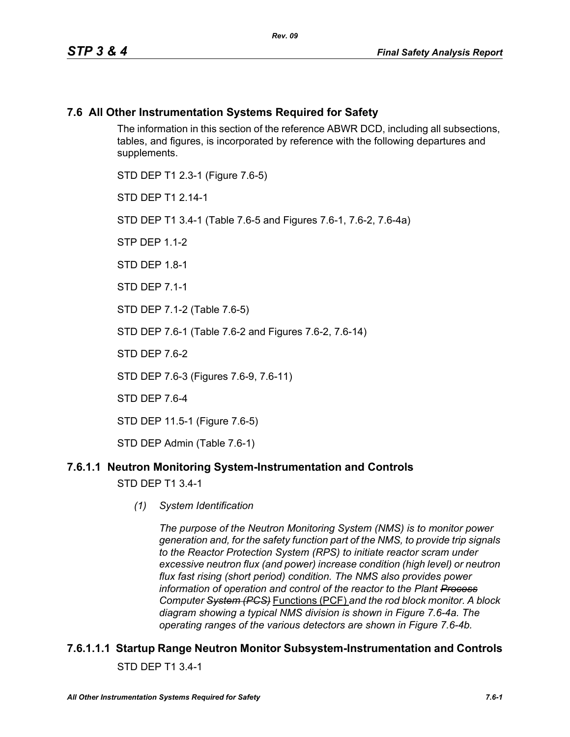### **7.6 All Other Instrumentation Systems Required for Safety**

The information in this section of the reference ABWR DCD, including all subsections, tables, and figures, is incorporated by reference with the following departures and supplements.

STD DEP T1 2.3-1 (Figure 7.6-5) STD DFP T1 2 14-1 STD DEP T1 3.4-1 (Table 7.6-5 and Figures 7.6-1, 7.6-2, 7.6-4a)  $STP$  DFP 11-2 STD DFP 18-1 STD DEP 7.1-1 STD DEP 7.1-2 (Table 7.6-5) STD DEP 7.6-1 (Table 7.6-2 and Figures 7.6-2, 7.6-14) STD DFP 76-2 STD DEP 7.6-3 (Figures 7.6-9, 7.6-11) STD DEP 7.6-4 STD DEP 11.5-1 (Figure 7.6-5)

STD DEP Admin (Table 7.6-1)

### **7.6.1.1 Neutron Monitoring System-Instrumentation and Controls**

STD DEP T1 3.4-1

*(1) System Identification*

*The purpose of the Neutron Monitoring System (NMS) is to monitor power generation and, for the safety function part of the NMS, to provide trip signals to the Reactor Protection System (RPS) to initiate reactor scram under excessive neutron flux (and power) increase condition (high level) or neutron flux fast rising (short period) condition. The NMS also provides power information of operation and control of the reactor to the Plant Process Computer System (PCS)* Functions (PCF) *and the rod block monitor. A block diagram showing a typical NMS division is shown in Figure 7.6-4a. The operating ranges of the various detectors are shown in Figure 7.6-4b.*

### **7.6.1.1.1 Startup Range Neutron Monitor Subsystem-Instrumentation and Controls** STD DEP T1 3.4-1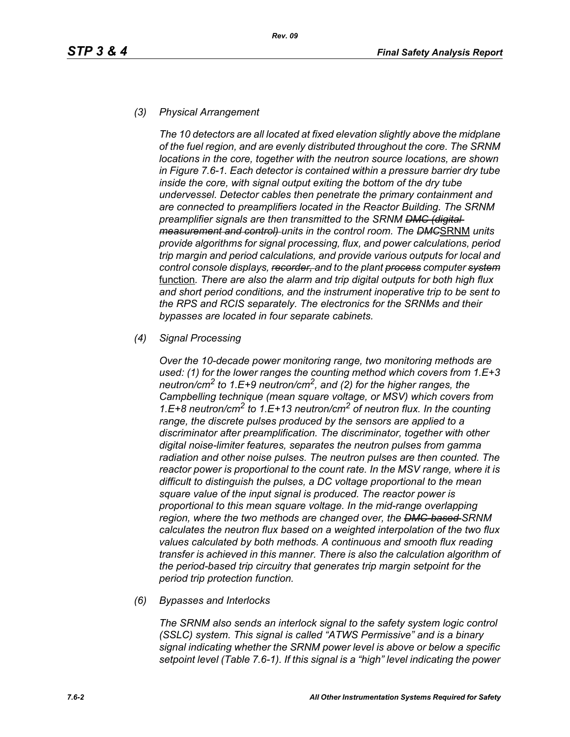#### *(3) Physical Arrangement*

*The 10 detectors are all located at fixed elevation slightly above the midplane of the fuel region, and are evenly distributed throughout the core. The SRNM locations in the core, together with the neutron source locations, are shown in Figure 7.6-1. Each detector is contained within a pressure barrier dry tube inside the core, with signal output exiting the bottom of the dry tube undervessel. Detector cables then penetrate the primary containment and are connected to preamplifiers located in the Reactor Building. The SRNM preamplifier signals are then transmitted to the SRNM DMC (digital measurement and control) units in the control room. The DMC*SRNM *units provide algorithms for signal processing, flux, and power calculations, period trip margin and period calculations, and provide various outputs for local and control console displays, recorder, and to the plant process computer system* function*. There are also the alarm and trip digital outputs for both high flux and short period conditions, and the instrument inoperative trip to be sent to the RPS and RCIS separately. The electronics for the SRNMs and their bypasses are located in four separate cabinets.*

#### *(4) Signal Processing*

*Over the 10-decade power monitoring range, two monitoring methods are used: (1) for the lower ranges the counting method which covers from 1.E+3 neutron/cm2 to 1.E+9 neutron/cm2, and (2) for the higher ranges, the Campbelling technique (mean square voltage, or MSV) which covers from 1.E+8 neutron/cm2 to 1.E+13 neutron/cm2 of neutron flux. In the counting range, the discrete pulses produced by the sensors are applied to a discriminator after preamplification. The discriminator, together with other digital noise-limiter features, separates the neutron pulses from gamma radiation and other noise pulses. The neutron pulses are then counted. The reactor power is proportional to the count rate. In the MSV range, where it is difficult to distinguish the pulses, a DC voltage proportional to the mean square value of the input signal is produced. The reactor power is proportional to this mean square voltage. In the mid-range overlapping region, where the two methods are changed over, the DMC-based SRNM calculates the neutron flux based on a weighted interpolation of the two flux values calculated by both methods. A continuous and smooth flux reading transfer is achieved in this manner. There is also the calculation algorithm of the period-based trip circuitry that generates trip margin setpoint for the period trip protection function.*

#### *(6) Bypasses and Interlocks*

*The SRNM also sends an interlock signal to the safety system logic control (SSLC) system. This signal is called "ATWS Permissive" and is a binary signal indicating whether the SRNM power level is above or below a specific setpoint level (Table 7.6-1). If this signal is a "high" level indicating the power*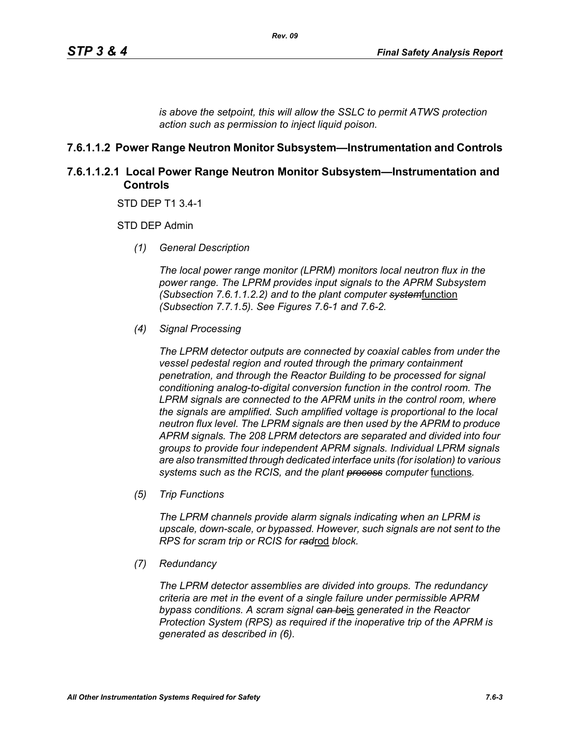*is above the setpoint, this will allow the SSLC to permit ATWS protection action such as permission to inject liquid poison.*

### **7.6.1.1.2 Power Range Neutron Monitor Subsystem—Instrumentation and Controls**

### **7.6.1.1.2.1 Local Power Range Neutron Monitor Subsystem—Instrumentation and Controls**

STD DEP T1 3.4-1

STD DEP Admin

*(1) General Description*

*The local power range monitor (LPRM) monitors local neutron flux in the power range. The LPRM provides input signals to the APRM Subsystem (Subsection 7.6.1.1.2.2) and to the plant computer system*function *(Subsection 7.7.1.5). See Figures 7.6-1 and 7.6-2.*

*(4) Signal Processing*

*The LPRM detector outputs are connected by coaxial cables from under the vessel pedestal region and routed through the primary containment penetration, and through the Reactor Building to be processed for signal conditioning analog-to-digital conversion function in the control room. The LPRM signals are connected to the APRM units in the control room, where the signals are amplified. Such amplified voltage is proportional to the local neutron flux level. The LPRM signals are then used by the APRM to produce APRM signals. The 208 LPRM detectors are separated and divided into four groups to provide four independent APRM signals. Individual LPRM signals are also transmitted through dedicated interface units (for isolation) to various*  systems such as the RCIS, and the plant **process** computer functions.

*(5) Trip Functions*

*The LPRM channels provide alarm signals indicating when an LPRM is upscale, down-scale, or bypassed. However, such signals are not sent to the RPS for scram trip or RCIS for rad*rod *block.*

*(7) Redundancy*

*The LPRM detector assemblies are divided into groups. The redundancy criteria are met in the event of a single failure under permissible APRM bypass conditions. A scram signal can be*is *generated in the Reactor Protection System (RPS) as required if the inoperative trip of the APRM is generated as described in (6).*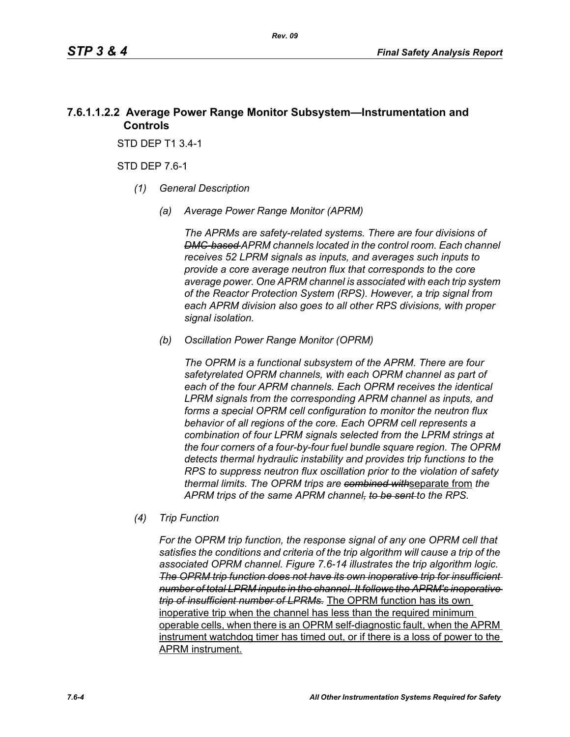### **7.6.1.1.2.2 Average Power Range Monitor Subsystem—Instrumentation and Controls**

STD DEP T1 3.4-1

STD DEP 7.6-1

- *(1) General Description*
	- *(a) Average Power Range Monitor (APRM)*

*The APRMs are safety-related systems. There are four divisions of DMC-based APRM channels located in the control room. Each channel receives 52 LPRM signals as inputs, and averages such inputs to provide a core average neutron flux that corresponds to the core average power. One APRM channel is associated with each trip system of the Reactor Protection System (RPS). However, a trip signal from each APRM division also goes to all other RPS divisions, with proper signal isolation.*

*(b) Oscillation Power Range Monitor (OPRM)*

*The OPRM is a functional subsystem of the APRM. There are four safetyrelated OPRM channels, with each OPRM channel as part of each of the four APRM channels. Each OPRM receives the identical LPRM signals from the corresponding APRM channel as inputs, and forms a special OPRM cell configuration to monitor the neutron flux behavior of all regions of the core. Each OPRM cell represents a combination of four LPRM signals selected from the LPRM strings at the four corners of a four-by-four fuel bundle square region. The OPRM detects thermal hydraulic instability and provides trip functions to the RPS to suppress neutron flux oscillation prior to the violation of safety thermal limits. The OPRM trips are combined with*separate from *the APRM trips of the same APRM channel, to be sent to the RPS.*

*(4) Trip Function*

*For the OPRM trip function, the response signal of any one OPRM cell that satisfies the conditions and criteria of the trip algorithm will cause a trip of the associated OPRM channel. Figure 7.6-14 illustrates the trip algorithm logic. The OPRM trip function does not have its own inoperative trip for insufficient number of total LPRM inputs in the channel. It follows the APRM's inoperative trip of insufficient number of LPRMs.* The OPRM function has its own inoperative trip when the channel has less than the required minimum operable cells, when there is an OPRM self-diagnostic fault, when the APRM instrument watchdog timer has timed out, or if there is a loss of power to the APRM instrument.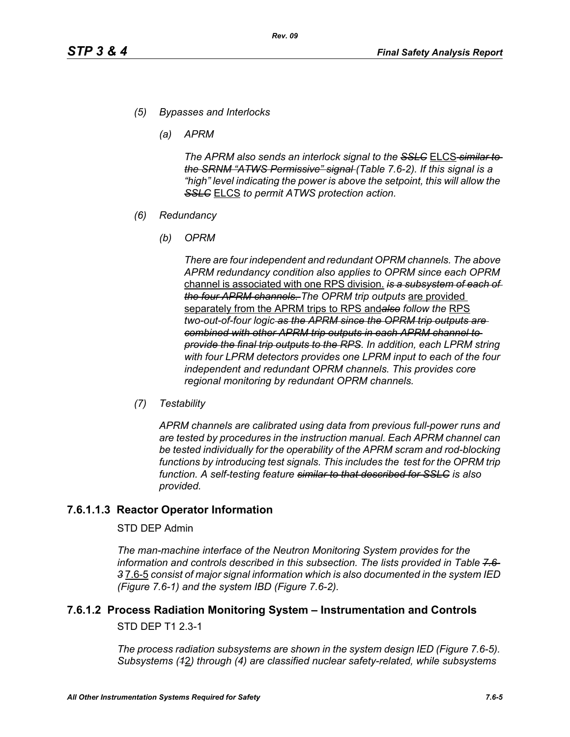- *(5) Bypasses and Interlocks*
	- *(a) APRM*

*The APRM also sends an interlock signal to the SSLC* ELCS *similar to the SRNM "ATWS Permissive" signal (Table 7.6-2). If this signal is a "high" level indicating the power is above the setpoint, this will allow the SSLC* ELCS *to permit ATWS protection action.*

- *(6) Redundancy*
	- *(b) OPRM*

*There are four independent and redundant OPRM channels. The above APRM redundancy condition also applies to OPRM since each OPRM*  channel is associated with one RPS division. *is a subsystem of each of the four APRM channels. The OPRM trip outputs* are provided separately from the APRM trips to RPS and*also follow the* RPS *two-out-of-four logic as the APRM since the OPRM trip outputs are combined with other APRM trip outputs in each APRM channel to provide the final trip outputs to the RPS. In addition, each LPRM string with four LPRM detectors provides one LPRM input to each of the four independent and redundant OPRM channels. This provides core regional monitoring by redundant OPRM channels.*

*(7) Testability*

*APRM channels are calibrated using data from previous full-power runs and are tested by procedures in the instruction manual. Each APRM channel can be tested individually for the operability of the APRM scram and rod-blocking*  functions by introducing test signals. This includes the test for the OPRM trip *function. A self-testing feature similar to that described for SSLC is also provided.*

### **7.6.1.1.3 Reactor Operator Information**

#### STD DEP Admin

*The man-machine interface of the Neutron Monitoring System provides for the information and controls described in this subsection. The lists provided in Table 7.6- 3* 7.6-5 *consist of major signal information which is also documented in the system IED (Figure 7.6-1) and the system IBD (Figure 7.6-2).*

# **7.6.1.2 Process Radiation Monitoring System – Instrumentation and Controls**

STD DEP T1 2.3-1

*The process radiation subsystems are shown in the system design IED (Figure 7.6-5). Subsystems (1*2*) through (4) are classified nuclear safety-related, while subsystems*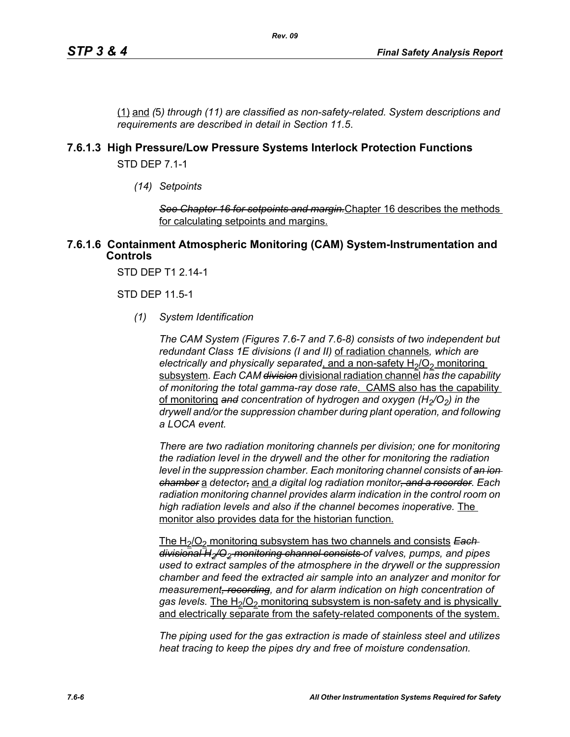(1) and *(*5*) through (11) are classified as non-safety-related. System descriptions and requirements are described in detail in Section 11.5*.

### **7.6.1.3 High Pressure/Low Pressure Systems Interlock Protection Functions**

STD DEP 7.1-1

*(14) Setpoints*

*See Chapter 16 for setpoints and margin.*Chapter 16 describes the methods for calculating setpoints and margins.

#### **7.6.1.6 Containment Atmospheric Monitoring (CAM) System-Instrumentation and Controls**

STD DEP T1 2.14-1

STD DEP 11.5-1

*(1) System Identification*

*The CAM System (Figures 7.6-7 and 7.6-8) consists of two independent but redundant Class 1E divisions (I and II)* of radiation channels*, which are electrically and physically separated, and a non-safety H<sub>2</sub>/O<sub>2</sub> monitoring* subsystem*. Each CAM division* divisional radiation channel *has the capability of monitoring the total gamma-ray dose rate*. CAMS also has the capability of monitoring and concentration of hydrogen and oxygen (H<sub>2</sub>/O<sub>2</sub>) in the *drywell and/or the suppression chamber during plant operation, and following a LOCA event.* 

*There are two radiation monitoring channels per division; one for monitoring the radiation level in the drywell and the other for monitoring the radiation level in the suppression chamber. Each monitoring channel consists of an ion chamber* a *detector,* and *a digital log radiation monitor, and a recorder. Each radiation monitoring channel provides alarm indication in the control room on high radiation levels and also if the channel becomes inoperative.* The monitor also provides data for the historian function.

The H<sub>2</sub>/O<sub>2</sub> monitoring subsystem has two channels and consists **Each** *divisional H2/O2 monitoring channel consists of valves, pumps, and pipes used to extract samples of the atmosphere in the drywell or the suppression chamber and feed the extracted air sample into an analyzer and monitor for measurement, recording, and for alarm indication on high concentration of*  gas levels. The H<sub>2</sub>/O<sub>2</sub> monitoring subsystem is non-safety and is physically and electrically separate from the safety-related components of the system.

*The piping used for the gas extraction is made of stainless steel and utilizes heat tracing to keep the pipes dry and free of moisture condensation.*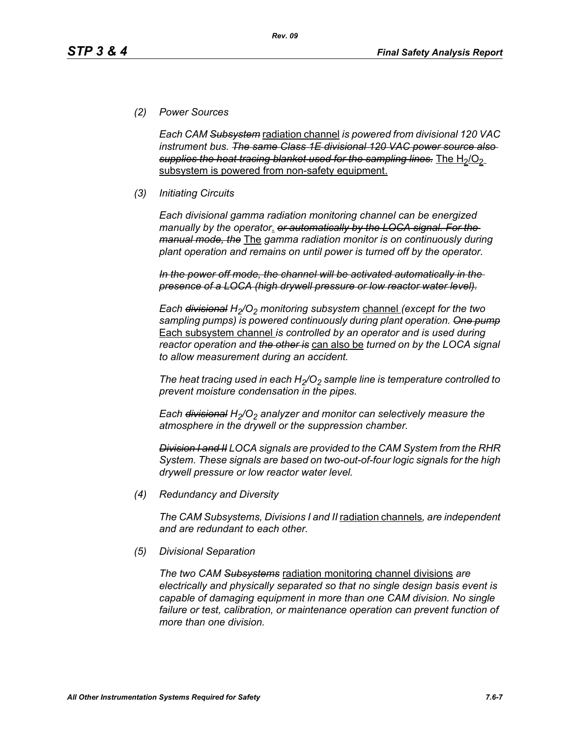### *(2) Power Sources*

*Each CAM Subsystem* radiation channel *is powered from divisional 120 VAC instrument bus. The same Class 1E divisional 120 VAC power source also*  supplies the heat tracing blanket used for the sampling lines. The H<sub>2</sub>/O<sub>2</sub> subsystem is powered from non-safety equipment.

*Rev. 09*

### *(3) Initiating Circuits*

*Each divisional gamma radiation monitoring channel can be energized manually by the operator*. *or automatically by the LOCA signal. For the manual mode, the* The *gamma radiation monitor is on continuously during plant operation and remains on until power is turned off by the operator.*

*In the power off mode, the channel will be activated automatically in the presence of a LOCA (high drywell pressure or low reactor water level).*

*Each <del>divisional</del> H<sub>2</sub>/O<sub>2</sub> monitoring subsystem channel (except for the two sampling pumps) is powered continuously during plant operation. One pump* Each subsystem channel *is controlled by an operator and is used during reactor operation and the other is* can also be *turned on by the LOCA signal to allow measurement during an accident.*

The heat tracing used in each  $H_2/O_2$  sample line is temperature controlled to *prevent moisture condensation in the pipes.* 

*Each <del>divisional</del> H<sub>2</sub>/O<sub>2</sub> analyzer and monitor can selectively measure the atmosphere in the drywell or the suppression chamber.*

*Division I and II LOCA signals are provided to the CAM System from the RHR System. These signals are based on two-out-of-four logic signals for the high drywell pressure or low reactor water level.*

*(4) Redundancy and Diversity*

*The CAM Subsystems, Divisions I and II* radiation channels*, are independent and are redundant to each other.*

*(5) Divisional Separation*

*The two CAM Subsystems* radiation monitoring channel divisions *are electrically and physically separated so that no single design basis event is capable of damaging equipment in more than one CAM division. No single*  failure or test, calibration, or maintenance operation can prevent function of *more than one division.*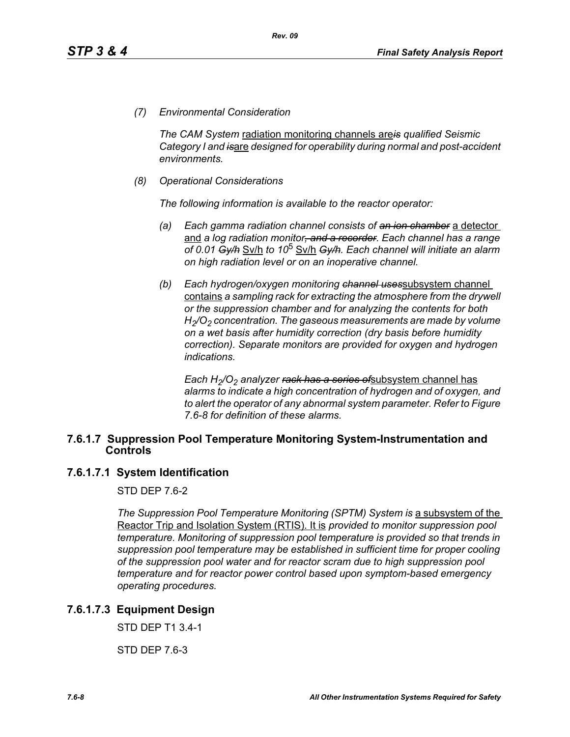*(7) Environmental Consideration*

*The CAM System* radiation monitoring channels are*is qualified Seismic Category I and is*are *designed for operability during normal and post-accident environments.*

*(8) Operational Considerations*

*The following information is available to the reactor operator:*

- *(a) Each gamma radiation channel consists of an ion chamber* a detector and *a log radiation monitor, and a recorder. Each channel has a range of 0.01 Gy/h* Sv/h *to 10*5 Sv/h *Gy/h. Each channel will initiate an alarm on high radiation level or on an inoperative channel.*
- *(b) Each hydrogen/oxygen monitoring channel uses*subsystem channel contains *a sampling rack for extracting the atmosphere from the drywell or the suppression chamber and for analyzing the contents for both H2/O2 concentration. The gaseous measurements are made by volume on a wet basis after humidity correction (dry basis before humidity correction). Separate monitors are provided for oxygen and hydrogen indications.*

*Each H<sub>2</sub>/O<sub>2</sub> analyzer <del>rack has a series of</del>subsystem channel has alarms to indicate a high concentration of hydrogen and of oxygen, and to alert the operator of any abnormal system parameter. Refer to Figure 7.6-8 for definition of these alarms.*

#### **7.6.1.7 Suppression Pool Temperature Monitoring System-Instrumentation and Controls**

#### **7.6.1.7.1 System Identification**

STD DFP 76-2

*The Suppression Pool Temperature Monitoring (SPTM) System is a subsystem of the* Reactor Trip and Isolation System (RTIS). It is *provided to monitor suppression pool temperature. Monitoring of suppression pool temperature is provided so that trends in suppression pool temperature may be established in sufficient time for proper cooling of the suppression pool water and for reactor scram due to high suppression pool temperature and for reactor power control based upon symptom-based emergency operating procedures.*

### **7.6.1.7.3 Equipment Design**

STD DEP T1 3.4-1

STD DEP 7.6-3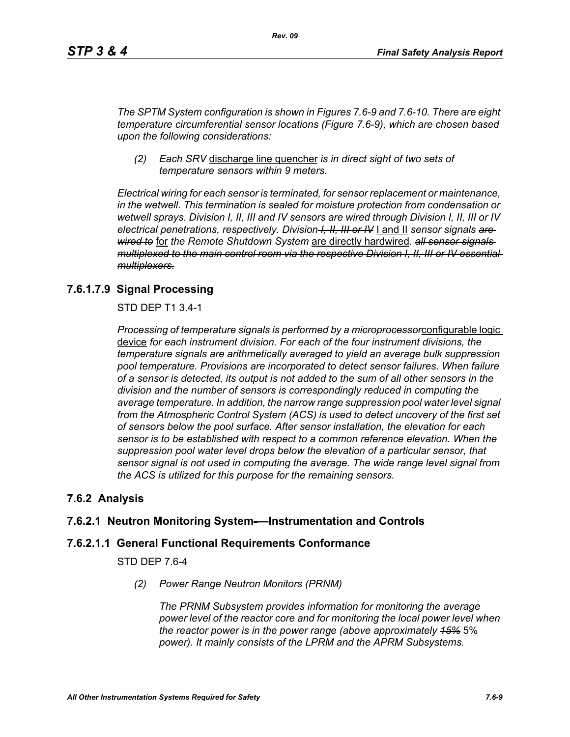*The SPTM System configuration is shown in Figures 7.6-9 and 7.6-10. There are eight temperature circumferential sensor locations (Figure 7.6-9), which are chosen based upon the following considerations:*

*(2) Each SRV* discharge line quencher *is in direct sight of two sets of temperature sensors within 9 meters.*

*Electrical wiring for each sensor is terminated, for sensor replacement or maintenance, in the wetwell. This termination is sealed for moisture protection from condensation or wetwell sprays. Division I, II, III and IV sensors are wired through Division I, II, III or IV electrical penetrations, respectively. Division I, II, III or IV* I and II *sensor signals are wired to* for *the Remote Shutdown System* are directly hardwired*. all sensor signals multiplexed to the main control room via the respective Division I, II, III or IV essential multiplexers.*

### **7.6.1.7.9 Signal Processing**

STD DEP T1 3.4-1

*Processing of temperature signals is performed by a microprocessor*configurable logic device *for each instrument division. For each of the four instrument divisions, the temperature signals are arithmetically averaged to yield an average bulk suppression pool temperature. Provisions are incorporated to detect sensor failures. When failure of a sensor is detected, its output is not added to the sum of all other sensors in the division and the number of sensors is correspondingly reduced in computing the average temperature. In addition, the narrow range suppression pool water level signal*  from the Atmospheric Control System (ACS) is used to detect uncovery of the first set *of sensors below the pool surface. After sensor installation, the elevation for each sensor is to be established with respect to a common reference elevation. When the suppression pool water level drops below the elevation of a particular sensor, that sensor signal is not used in computing the average. The wide range level signal from the ACS is utilized for this purpose for the remaining sensors.*

### **7.6.2 Analysis**

### **7.6.2.1 Neutron Monitoring System-—Instrumentation and Controls**

#### **7.6.2.1.1 General Functional Requirements Conformance**

STD DEP 7.6-4

*(2) Power Range Neutron Monitors (PRNM)*

*The PRNM Subsystem provides information for monitoring the average power level of the reactor core and for monitoring the local power level when the reactor power is in the power range (above approximately 15%* 5% *power). It mainly consists of the LPRM and the APRM Subsystems.*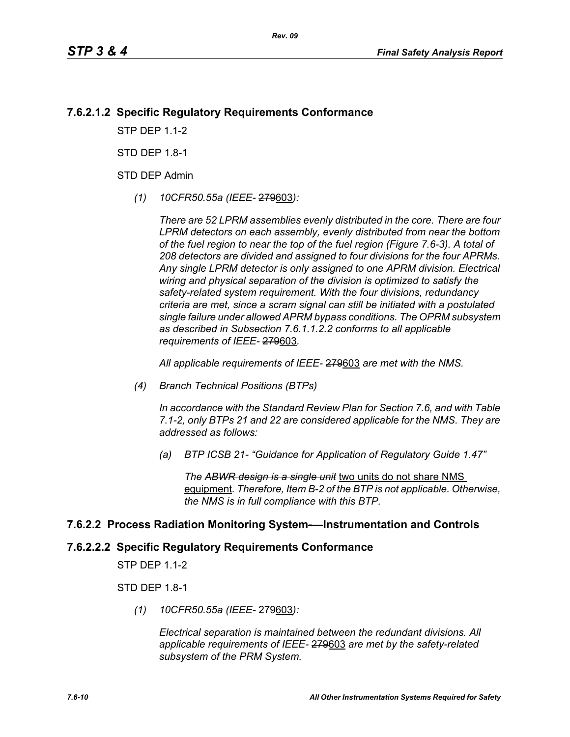### **7.6.2.1.2 Specific Regulatory Requirements Conformance**

**STP DFP 11-2** 

STD DFP 18-1

STD DEP Admin

*(1) 10CFR50.55a (IEEE-* 279603*):*

*There are 52 LPRM assemblies evenly distributed in the core. There are four LPRM detectors on each assembly, evenly distributed from near the bottom of the fuel region to near the top of the fuel region (Figure 7.6-3). A total of 208 detectors are divided and assigned to four divisions for the four APRMs. Any single LPRM detector is only assigned to one APRM division. Electrical wiring and physical separation of the division is optimized to satisfy the safety-related system requirement. With the four divisions, redundancy criteria are met, since a scram signal can still be initiated with a postulated single failure under allowed APRM bypass conditions. The OPRM subsystem as described in Subsection 7.6.1.1.2.2 conforms to all applicable requirements of IEEE-* 279603*.*

*All applicable requirements of IEEE-* 279603 *are met with the NMS.*

*(4) Branch Technical Positions (BTPs)* 

*In accordance with the Standard Review Plan for Section 7.6, and with Table 7.1-2, only BTPs 21 and 22 are considered applicable for the NMS. They are addressed as follows:* 

*(a) BTP ICSB 21- "Guidance for Application of Regulatory Guide 1.47"* 

*The ABWR design is a single unit* two units do not share NMS equipment*. Therefore, Item B-2 of the BTP is not applicable. Otherwise, the NMS is in full compliance with this BTP.* 

#### **7.6.2.2 Process Radiation Monitoring System-—Instrumentation and Controls**

## **7.6.2.2.2 Specific Regulatory Requirements Conformance**

STP DEP 1.1-2

STD DEP 1.8-1

*(1) 10CFR50.55a (IEEE-* 279603*):*

*Electrical separation is maintained between the redundant divisions. All applicable requirements of IEEE-* 279603 *are met by the safety-related subsystem of the PRM System.*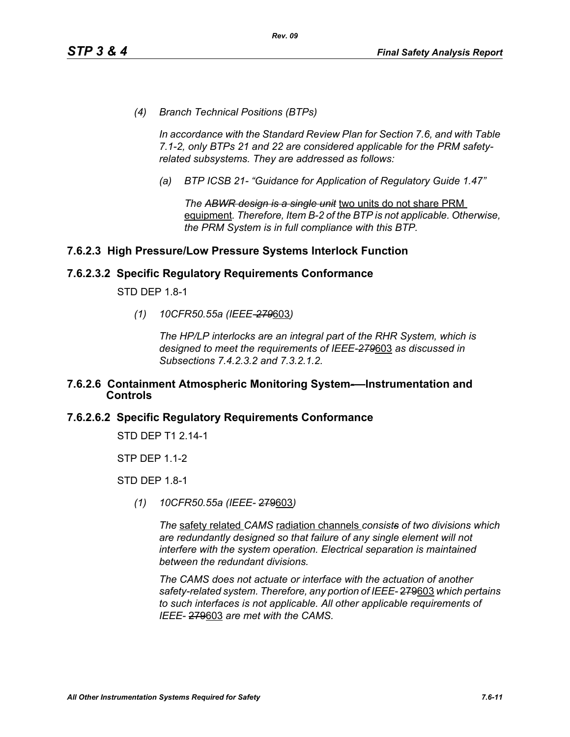*(4) Branch Technical Positions (BTPs)* 

*In accordance with the Standard Review Plan for Section 7.6, and with Table 7.1-2, only BTPs 21 and 22 are considered applicable for the PRM safetyrelated subsystems. They are addressed as follows:* 

*(a) BTP ICSB 21- "Guidance for Application of Regulatory Guide 1.47"*

*The ABWR design is a single unit* two units do not share PRM equipment*. Therefore, Item B-2 of the BTP is not applicable. Otherwise, the PRM System is in full compliance with this BTP.* 

### **7.6.2.3 High Pressure/Low Pressure Systems Interlock Function**

#### **7.6.2.3.2 Specific Regulatory Requirements Conformance**

STD DEP 1.8-1

*(1) 10CFR50.55a (IEEE-279*603*)*

*The HP/LP interlocks are an integral part of the RHR System, which is designed to meet the requirements of IEEE-279*603 *as discussed in Subsections 7.4.2.3.2 and 7.3.2.1.2.*

#### **7.6.2.6 Containment Atmospheric Monitoring System-—Instrumentation and Controls**

#### **7.6.2.6.2 Specific Regulatory Requirements Conformance**

STD DEP T1 2.14-1

STP DEP 1.1-2

STD DEP 1.8-1

*(1) 10CFR50.55a (IEEE-* 279603*)*

*The* safety related *CAMS* radiation channels *consists of two divisions which are redundantly designed so that failure of any single element will not interfere with the system operation. Electrical separation is maintained between the redundant divisions.*

*The CAMS does not actuate or interface with the actuation of another safety-related system. Therefore, any portion of IEEE-* 279603 *which pertains to such interfaces is not applicable. All other applicable requirements of IEEE-* 279603 *are met with the CAMS.*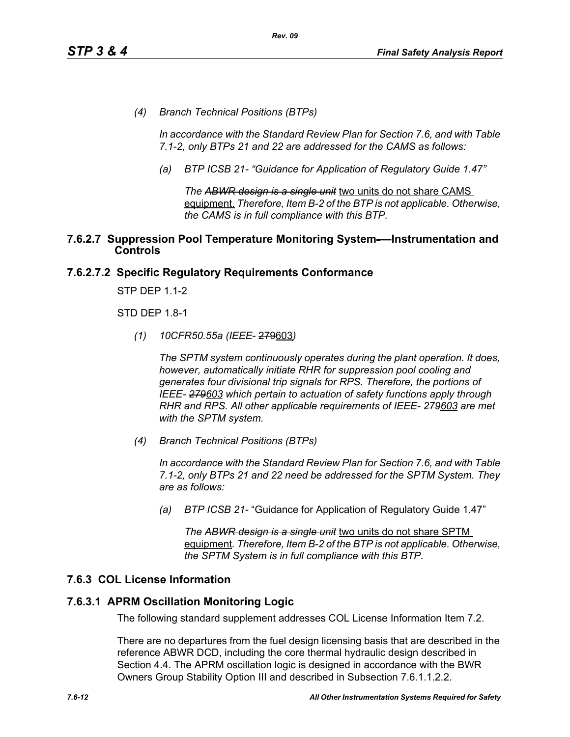*(4) Branch Technical Positions (BTPs)* 

*In accordance with the Standard Review Plan for Section 7.6, and with Table 7.1-2, only BTPs 21 and 22 are addressed for the CAMS as follows:* 

*(a) BTP ICSB 21- "Guidance for Application of Regulatory Guide 1.47"*

*The ABWR design is a single unit* two units do not share CAMS equipment. *Therefore, Item B-2 of the BTP is not applicable. Otherwise, the CAMS is in full compliance with this BTP.* 

#### **7.6.2.7 Suppression Pool Temperature Monitoring System-—Instrumentation and Controls**

### **7.6.2.7.2 Specific Regulatory Requirements Conformance**

STP DEP 1.1-2

STD DEP 1.8-1

*(1) 10CFR50.55a (IEEE*- 279603*)*

*The SPTM system continuously operates during the plant operation. It does, however, automatically initiate RHR for suppression pool cooling and generates four divisional trip signals for RPS. Therefore, the portions of IEEE- 279603 which pertain to actuation of safety functions apply through RHR and RPS. All other applicable requirements of IEEE- 279603 are met with the SPTM system.*

*(4) Branch Technical Positions (BTPs)*

*In accordance with the Standard Review Plan for Section 7.6, and with Table 7.1-2, only BTPs 21 and 22 need be addressed for the SPTM System. They are as follows:*

*(a) BTP ICSB 21-* "Guidance for Application of Regulatory Guide 1.47"

*The ABWR design is a single unit* two units do not share SPTM equipment*. Therefore, Item B-2 of the BTP is not applicable. Otherwise, the SPTM System is in full compliance with this BTP.*

### **7.6.3 COL License Information**

#### **7.6.3.1 APRM Oscillation Monitoring Logic**

The following standard supplement addresses COL License Information Item 7.2.

There are no departures from the fuel design licensing basis that are described in the reference ABWR DCD, including the core thermal hydraulic design described in Section 4.4. The APRM oscillation logic is designed in accordance with the BWR Owners Group Stability Option III and described in Subsection 7.6.1.1.2.2.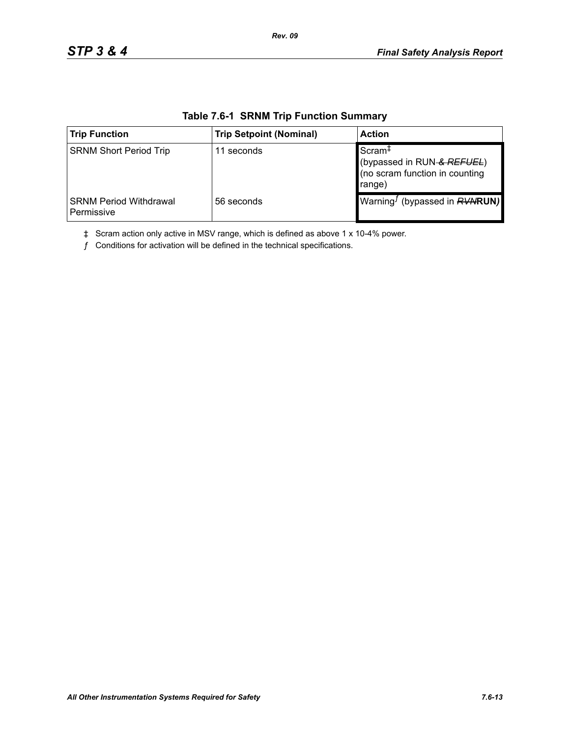| <b>Trip Function</b>                        | <b>Trip Setpoint (Nominal)</b> | <b>Action</b>                                                                                |
|---------------------------------------------|--------------------------------|----------------------------------------------------------------------------------------------|
| <b>SRNM Short Period Trip</b>               | 11 seconds                     | Scram <sup>‡</sup><br>(bypassed in RUN & REFUEL)<br>(no scram function in counting<br>range) |
| <b>SRNM Period Withdrawal</b><br>Permissive | 56 seconds                     | Warning <sup><i>I</i></sup> (bypassed in $RVWRUN$ )                                          |

#### **Table 7.6-1 SRNM Trip Function Summary**

*Rev. 09*

‡ Scram action only active in MSV range, which is defined as above 1 x 10-4% power.

 $f$  Conditions for activation will be defined in the technical specifications.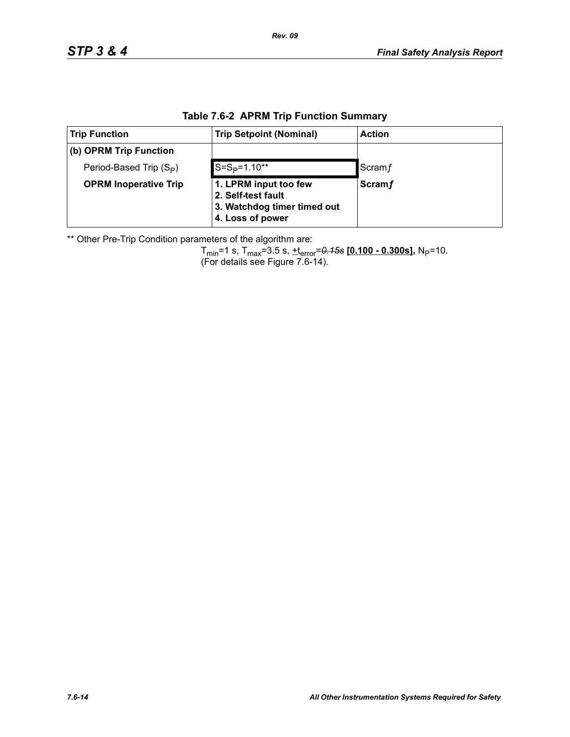| $\mathbf{r} \times \mathbf{r} \times \mathbf{r} \times \mathbf{r} \times \mathbf{r} \times \mathbf{r} \times \mathbf{r} \times \mathbf{r} \times \mathbf{r} \times \mathbf{r} \times \mathbf{r} \times \mathbf{r} \times \mathbf{r} \times \mathbf{r} \times \mathbf{r} \times \mathbf{r} \times \mathbf{r} \times \mathbf{r} \times \mathbf{r} \times \mathbf{r} \times \mathbf{r} \times \mathbf{r} \times \mathbf{r} \times \mathbf{r} \times \mathbf{r} \times \mathbf{r} \times \mathbf{r} \times \mathbf{$ |                                                                                                |               |  |  |
|------------------------------------------------------------------------------------------------------------------------------------------------------------------------------------------------------------------------------------------------------------------------------------------------------------------------------------------------------------------------------------------------------------------------------------------------------------------------------------------------------------------|------------------------------------------------------------------------------------------------|---------------|--|--|
| <b>Trip Function</b>                                                                                                                                                                                                                                                                                                                                                                                                                                                                                             | <b>Trip Setpoint (Nominal)</b>                                                                 | <b>Action</b> |  |  |
| (b) OPRM Trip Function                                                                                                                                                                                                                                                                                                                                                                                                                                                                                           |                                                                                                |               |  |  |
| Period-Based Trip (S <sub>P</sub> )                                                                                                                                                                                                                                                                                                                                                                                                                                                                              | $S = SP=1.10**$                                                                                | Scram f       |  |  |
| <b>OPRM Inoperative Trip</b>                                                                                                                                                                                                                                                                                                                                                                                                                                                                                     | 1. LPRM input too few<br>2. Self-test fault<br>3. Watchdog timer timed out<br>4. Loss of power | <b>Scramf</b> |  |  |

### **Table 7.6-2 APRM Trip Function Summary**

\*\* Other Pre-Trip Condition parameters of the algorithm are:

Tmin=1 s, Tmax=3.5 s, +terror=*0.15s* **[0.100 - 0.300s],** NP=10. (For details see Figure 7.6-14).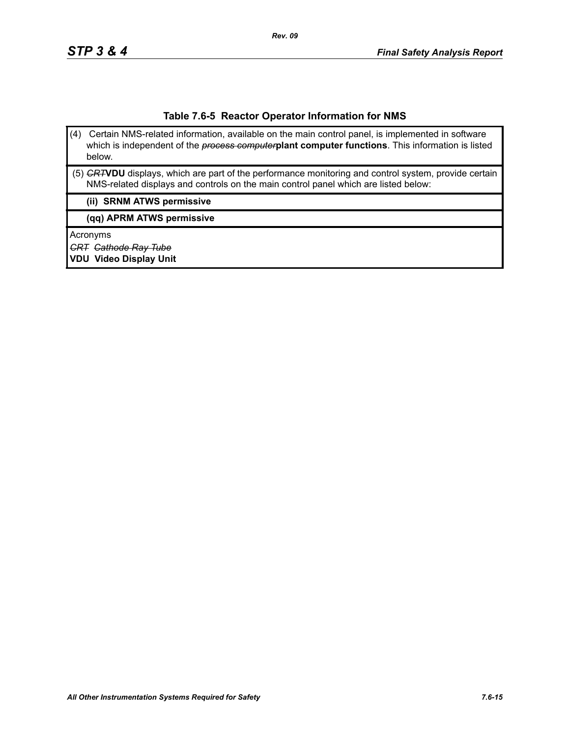#### **Table 7.6-5 Reactor Operator Information for NMS**

- (4) Certain NMS-related information, available on the main control panel, is implemented in software which is independent of the *process computer***plant computer functions**. This information is listed below.
- (5) *CRT***VDU** displays, which are part of the performance monitoring and control system, provide certain NMS-related displays and controls on the main control panel which are listed below:

#### **(ii) SRNM ATWS permissive**

**(qq) APRM ATWS permissive**

Acronyms

*CRT Cathode Ray Tube*

**VDU Video Display Unit**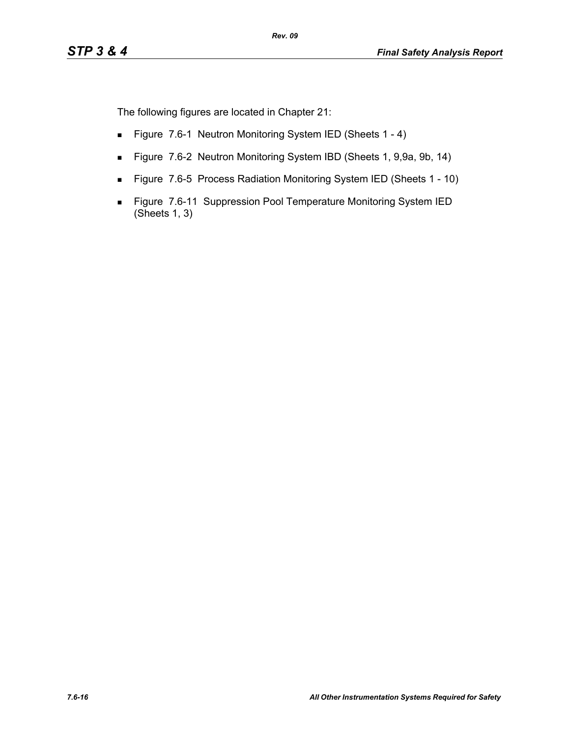The following figures are located in Chapter 21:

- Figure 7.6-1 Neutron Monitoring System IED (Sheets 1 4)
- Figure 7.6-2 Neutron Monitoring System IBD (Sheets 1, 9,9a, 9b, 14)
- Figure 7.6-5 Process Radiation Monitoring System IED (Sheets 1 10)
- Figure 7.6-11 Suppression Pool Temperature Monitoring System IED (Sheets 1, 3)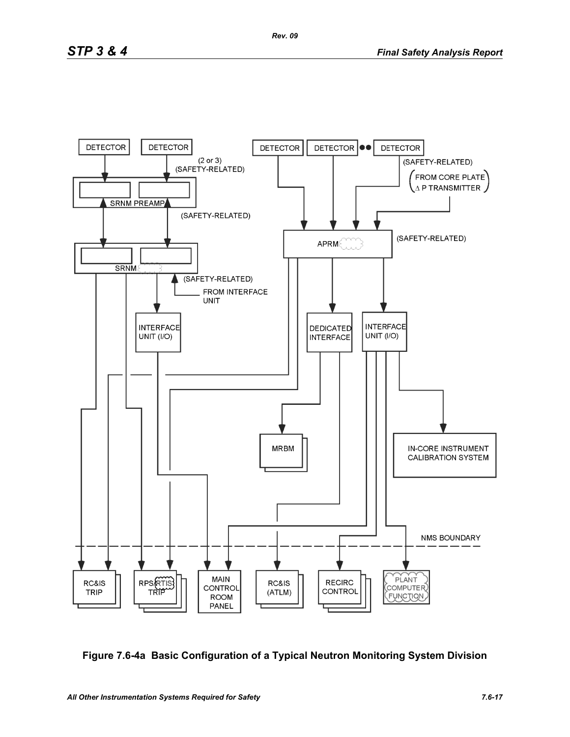

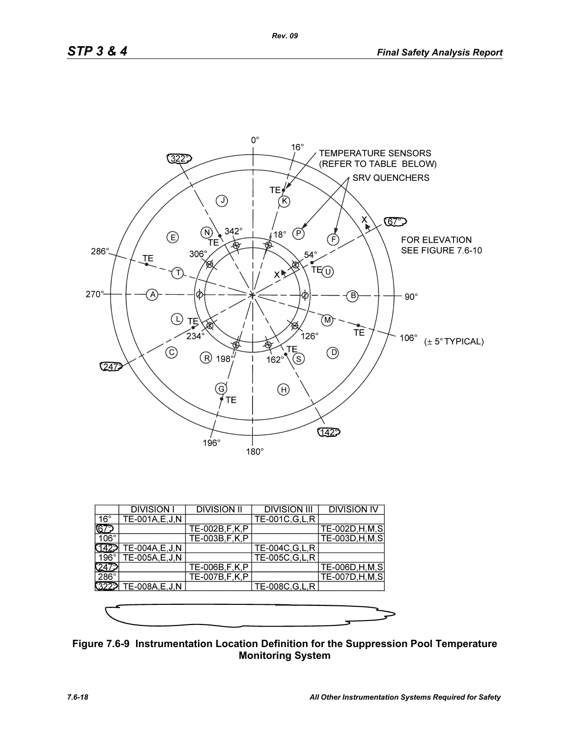

|              | <b>DIVISION I</b> | <b>DIVISION II</b> | <b>DIVISION III</b> | <b>DIVISION IV</b> |
|--------------|-------------------|--------------------|---------------------|--------------------|
| $16^{\circ}$ | TE-001A, E, J, N  |                    | TE-001C, G, L, R    |                    |
| ୲ଢ଼          |                   | TE-002B, F, K, P   |                     | TE-002D, H, M, S   |
| $106^\circ$  |                   | TE-003B, F, K, P   |                     | TE-003D, H, M, S   |
|              | TE-004A, E, J, N  |                    | TE-004C, G, L, R    |                    |
| 196°1        | TE-005A,E,J,N     |                    | TE-005C, G, L, R    |                    |
|              |                   | TE-006B, F, K, P   |                     | TE-006D, H, M, S   |
| $286^\circ$  |                   | TE-007B, F, K, P   |                     | TE-007D, H, M, S   |
| 3229         | TE-008A, E, J, N  |                    | TE-008C, G, L, R    |                    |
|              |                   |                    |                     |                    |
|              |                   |                    |                     |                    |
|              |                   |                    |                     |                    |

**Figure 7.6-9 Instrumentation Location Definition for the Suppression Pool Temperature Monitoring System**